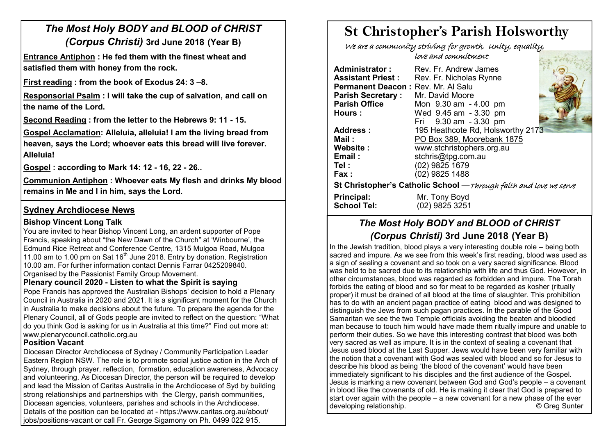# *The Most Holy BODY and BLOOD of CHRIST (Corpus Christi)* **3rd June 2018 (Year B)**

**Entrance Antiphon : He fed them with the finest wheat and satisfied them with honey from the rock.**

**First reading : from the book of Exodus 24: 3 –8.** 

**Responsorial Psalm : I will take the cup of salvation, and call on the name of the Lord.**

**Second Reading : from the letter to the Hebrews 9: 11 - 15.** 

**Gospel Acclamation: Alleluia, alleluia! I am the living bread from heaven, says the Lord; whoever eats this bread will live forever. Alleluia!** 

**Gospel : according to Mark 14: 12 - 16, 22 - 26..** 

**Communion Antiphon : Whoever eats My flesh and drinks My blood remains in Me and I in him, says the Lord.**

### **Sydney Archdiocese News**

#### **Bishop Vincent Long Talk**

You are invited to hear Bishop Vincent Long, an ardent supporter of Pope Francis, speaking about "the New Dawn of the Church" at 'Winbourne', the Edmund Rice Retreat and Conference Centre, 1315 Mulgoa Road, Mulgoa 11.00 am to 1.00 pm on Sat  $16<sup>th</sup>$  June 2018. Entry by donation. Registration 10.00 am. For further information contact Dennis Farrar 0425209840. Organised by the Passionist Family Group Movement.

#### **Plenary council 2020 - Listen to what the Spirit is saying**

Pope Francis has approved the Australian Bishops' decision to hold a Plenary Council in Australia in 2020 and 2021. It is a significant moment for the Church in Australia to make decisions about the future. To prepare the agenda for the Plenary Council, all of Gods people are invited to reflect on the question: "What do you think God is asking for us in Australia at this time?" Find out more at: www.plenarycouncil.catholic.org.au

#### **Position Vacant**

Diocesan Director Archdiocese of Sydney / Community Participation Leader Eastern Region NSW. The role is to promote social justice action in the Arch of Sydney, through prayer, reflection, formation, education awareness, Advocacy and volunteering. As Diocesan Director, the person will be required to develop and lead the Mission of Caritas Australia in the Archdiocese of Syd by building strong relationships and partnerships with the Clergy, parish communities, Diocesan agencies, volunteers, parishes and schools in the Archdiocese. Details of the position can be located at - https://www.caritas.org.au/about/ jobs/positions-vacant or call Fr. George Sigamony on Ph. 0499 022 915.

# **St Christopher's Parish Holsworthy**

 We are a community striving for growth, Unity, equality, love and commitment sie zielkand

| Administrator:<br><b>Assistant Priest:</b><br>Permanent Deacon: Rev. Mr. Al Salu<br><b>Parish Secretary:</b><br><b>Parish Office</b> | Rev. Fr. Andrew James<br>Rev. Fr. Nicholas Rynne<br>Mr. David Moore<br>Mon 9.30 am - 4.00 pm |  |  |  |  |
|--------------------------------------------------------------------------------------------------------------------------------------|----------------------------------------------------------------------------------------------|--|--|--|--|
| Hours:                                                                                                                               | Wed 9.45 am - 3.30 pm                                                                        |  |  |  |  |
|                                                                                                                                      | Fri 9.30 am - 3.30 pm                                                                        |  |  |  |  |
| Address:                                                                                                                             | 195 Heathcote Rd, Holsworthy 2173                                                            |  |  |  |  |
| Mail:                                                                                                                                | PO Box 389, Moorebank 1875                                                                   |  |  |  |  |
| Website:                                                                                                                             | www.stchristophers.org.au                                                                    |  |  |  |  |
| Email:                                                                                                                               | stchris@tpg.com.au                                                                           |  |  |  |  |
| Tel :                                                                                                                                | (02) 9825 1679                                                                               |  |  |  |  |
| Fax:                                                                                                                                 | (02) 9825 1488                                                                               |  |  |  |  |
| St Christopher's Catholic School - Through faith and love we serve                                                                   |                                                                                              |  |  |  |  |
| <b>Principal:</b>                                                                                                                    | Mr. Tony Boyd                                                                                |  |  |  |  |
| <b>School Tel:</b>                                                                                                                   | (02) 9825 3251                                                                               |  |  |  |  |

# *The Most Holy BODY and BLOOD of CHRIST (Corpus Christi)* **3rd June 2018 (Year B)**

In the Jewish tradition, blood plays a very interesting double role – being both sacred and impure. As we see from this week's first reading, blood was used as a sign of sealing a covenant and so took on a very sacred significance. Blood was held to be sacred due to its relationship with life and thus God. However, in other circumstances, blood was regarded as forbidden and impure. The Torah forbids the eating of blood and so for meat to be regarded as kosher (ritually proper) it must be drained of all blood at the time of slaughter. This prohibition has to do with an ancient pagan practice of eating blood and was designed to distinguish the Jews from such pagan practices. In the parable of the Good Samaritan we see the two Temple officials avoiding the beaten and bloodied man because to touch him would have made them ritually impure and unable to perform their duties. So we have this interesting contrast that blood was both very sacred as well as impure. It is in the context of sealing a covenant that Jesus used blood at the Last Supper. Jews would have been very familiar with the notion that a covenant with God was sealed with blood and so for Jesus to describe his blood as being 'the blood of the covenant' would have been immediately significant to his disciples and the first audience of the Gospel. Jesus is marking a new covenant between God and God's people – a covenant in blood like the covenants of old. He is making it clear that God is prepared to start over again with the people – a new covenant for a new phase of the ever developing relationship. **Example 20 and 20 and 20 and 20 and 20 and 20 and 20 and 20 and 20 and 20 and 20 and 20 and 20 and 20 and 20 and 20 and 20 and 20 and 20 and 20 and 20 and 20 and 20 and 20 and 20 and 20 and 20 an**